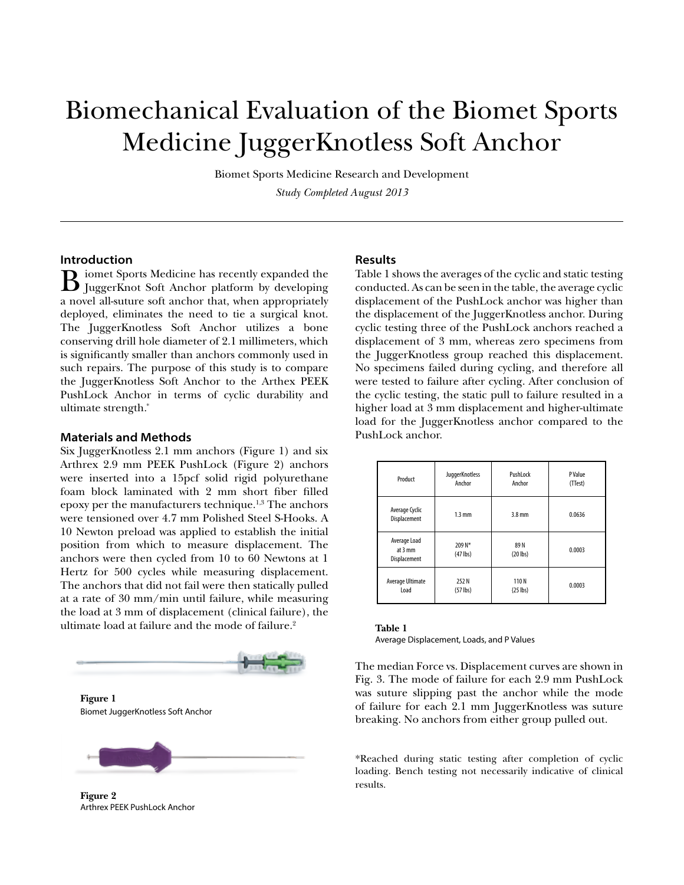# Biomechanical Evaluation of the Biomet Sports Medicine JuggerKnotless Soft Anchor

Biomet Sports Medicine Research and Development *Study Completed August 2013*

## **Introduction**

B iomet Sports Medicine has recently expanded the JuggerKnot Soft Anchor platform by developing a novel all-suture soft anchor that, when appropriately deployed, eliminates the need to tie a surgical knot. The JuggerKnotless Soft Anchor utilizes a bone conserving drill hole diameter of 2.1 millimeters, which is significantly smaller than anchors commonly used in such repairs. The purpose of this study is to compare the JuggerKnotless Soft Anchor to the Arthex PEEK PushLock Anchor in terms of cyclic durability and ultimate strength.\*

## **Materials and Methods**

Six JuggerKnotless 2.1 mm anchors (Figure 1) and six Arthrex 2.9 mm PEEK PushLock (Figure 2) anchors were inserted into a 15pcf solid rigid polyurethane foam block laminated with 2 mm short fiber filled epoxy per the manufacturers technique.1,3 The anchors were tensioned over 4.7 mm Polished Steel S-Hooks. A 10 Newton preload was applied to establish the initial position from which to measure displacement. The anchors were then cycled from 10 to 60 Newtons at 1 Hertz for 500 cycles while measuring displacement. The anchors that did not fail were then statically pulled at a rate of 30 mm/min until failure, while measuring the load at 3 mm of displacement (clinical failure), the ultimate load at failure and the mode of failure.<sup>2</sup>





**Figure 2**  Arthrex PEEK PushLock Anchor

### **Results**

Table 1 shows the averages of the cyclic and static testing conducted. As can be seen in the table, the average cyclic displacement of the PushLock anchor was higher than the displacement of the JuggerKnotless anchor. During cyclic testing three of the PushLock anchors reached a displacement of 3 mm, whereas zero specimens from the JuggerKnotless group reached this displacement. No specimens failed during cycling, and therefore all were tested to failure after cycling. After conclusion of the cyclic testing, the static pull to failure resulted in a higher load at 3 mm displacement and higher-ultimate load for the JuggerKnotless anchor compared to the PushLock anchor.

| Product                                           | JuggerKnotless<br>Anchor | PushLock<br>Anchor           | P Value<br>(TTest) |
|---------------------------------------------------|--------------------------|------------------------------|--------------------|
| Average Cyclic<br>Displacement                    | $1.3 \text{ mm}$         | $3.8$ mm                     | 0.0636             |
| Average Load<br>at $3 \text{ mm}$<br>Displacement | 209 N*<br>$(47$ lbs)     | 89N<br>$(20$ lbs)            | 0.0003             |
| Average Ultimate<br>Load                          | 252 N<br>$(57$ lbs)      | 110N<br>$\{25 \text{ lbs}\}$ | 0.0003             |

| Table 1                                   |
|-------------------------------------------|
| Average Displacement, Loads, and P Values |

The median Force vs. Displacement curves are shown in Fig. 3. The mode of failure for each 2.9 mm PushLock was suture slipping past the anchor while the mode of failure for each 2.1 mm JuggerKnotless was suture breaking. No anchors from either group pulled out.

\*Reached during static testing after completion of cyclic loading. Bench testing not necessarily indicative of clinical results.